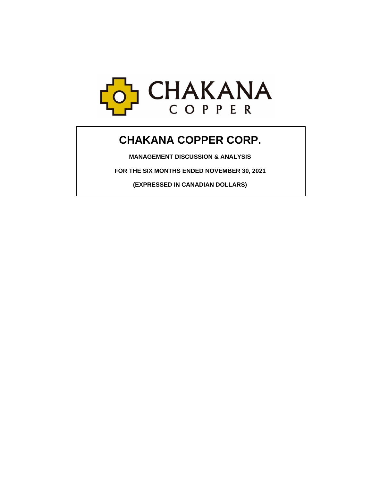

# **CHAKANA COPPER CORP.**

**MANAGEMENT DISCUSSION & ANALYSIS**

**FOR THE SIX MONTHS ENDED NOVEMBER 30, 2021**

**(EXPRESSED IN CANADIAN DOLLARS)**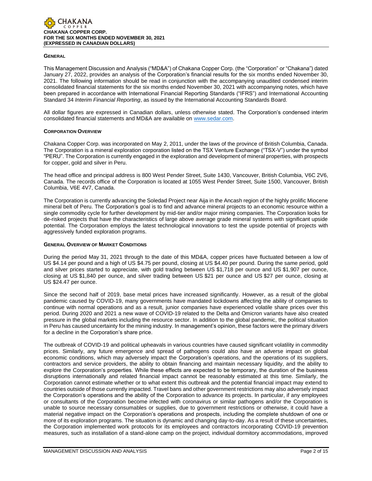

#### **GENERAL**

This Management Discussion and Analysis ("MD&A") of Chakana Copper Corp. (the "Corporation" or "Chakana") dated January 27, 2022, provides an analysis of the Corporation's financial results for the six months ended November 30, 2021. The following information should be read in conjunction with the accompanying unaudited condensed interim consolidated financial statements for the six months ended November 30, 2021 with accompanying notes, which have been prepared in accordance with International Financial Reporting Standards ("IFRS") and International Accounting Standard 34 *Interim Financial Reporting*, as issued by the International Accounting Standards Board.

All dollar figures are expressed in Canadian dollars, unless otherwise stated. The Corporation's condensed interim consolidated financial statements and MD&A are available on [www.sedar.com.](http://www.sedar.com/)

## **CORPORATION OVERVIEW**

Chakana Copper Corp. was incorporated on May 2, 2011, under the laws of the province of British Columbia, Canada. The Corporation is a mineral exploration corporation listed on the TSX Venture Exchange ("TSX-V") under the symbol "PERU". The Corporation is currently engaged in the exploration and development of mineral properties, with prospects for copper, gold and silver in Peru.

The head office and principal address is 800 West Pender Street, Suite 1430, Vancouver, British Columbia, V6C 2V6, Canada. The records office of the Corporation is located at 1055 West Pender Street, Suite 1500, Vancouver, British Columbia, V6E 4V7, Canada.

The Corporation is currently advancing the Soledad Project near Aija in the Ancash region of the highly prolific Miocene mineral belt of Peru. The Corporation's goal is to find and advance mineral projects to an economic resource within a single commodity cycle for further development by mid-tier and/or major mining companies. The Corporation looks for de-risked projects that have the characteristics of large above average grade mineral systems with significant upside potential. The Corporation employs the latest technological innovations to test the upside potential of projects with aggressively funded exploration programs.

## **GENERAL OVERVIEW OF MARKET CONDITIONS**

During the period May 31, 2021 through to the date of this MD&A, copper prices have fluctuated between a low of US \$4.14 per pound and a high of US \$4.75 per pound, closing at US \$4.40 per pound. During the same period, gold and silver prices started to appreciate, with gold trading between US \$1,718 per ounce and US \$1,907 per ounce, closing at US \$1,840 per ounce, and silver trading between US \$21 per ounce and US \$27 per ounce, closing at US \$24.47 per ounce.

Since the second half of 2019, base metal prices have increased significantly. However, as a result of the global pandemic caused by COVID-19, many governments have mandated lockdowns affecting the ability of companies to continue with normal operations and as a result, junior companies have experienced volatile share prices over this period. During 2020 and 2021 a new wave of COVID-19 related to the Delta and Omicron variants have also created pressure in the global markets including the resource sector. In addition to the global pandemic, the political situation in Peru has caused uncertainty for the mining industry. In management's opinion, these factors were the primary drivers for a decline in the Corporation's share price.

The outbreak of COVID-19 and political upheavals in various countries have caused significant volatility in commodity prices. Similarly, any future emergence and spread of pathogens could also have an adverse impact on global economic conditions, which may adversely impact the Corporation's operations, and the operations of its suppliers, contractors and service providers, the ability to obtain financing and maintain necessary liquidity, and the ability to explore the Corporation's properties. While these effects are expected to be temporary, the duration of the business disruptions internationally and related financial impact cannot be reasonably estimated at this time. Similarly, the Corporation cannot estimate whether or to what extent this outbreak and the potential financial impact may extend to countries outside of those currently impacted. Travel bans and other government restrictions may also adversely impact the Corporation's operations and the ability of the Corporation to advance its projects. In particular, if any employees or consultants of the Corporation become infected with coronavirus or similar pathogens and/or the Corporation is unable to source necessary consumables or supplies, due to government restrictions or otherwise, it could have a material negative impact on the Corporation's operations and prospects, including the complete shutdown of one or more of its exploration programs. The situation is dynamic and changing day-to-day. As a result of these uncertainties, the Corporation implemented work protocols for its employees and contractors incorporating COVID-19 prevention measures, such as installation of a stand-alone camp on the project, individual dormitory accommodations, improved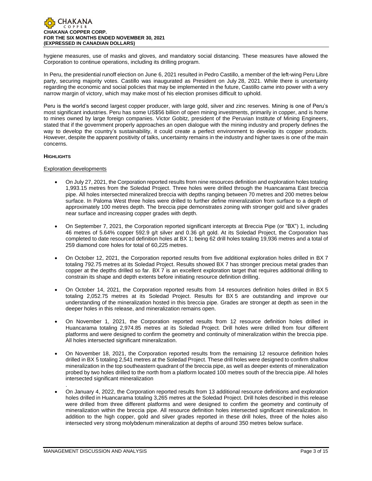

hygiene measures, use of masks and gloves, and mandatory social distancing. These measures have allowed the Corporation to continue operations, including its drilling program.

In Peru, the presidential runoff election on June 6, 2021 resulted in Pedro Castillo, a member of the left-wing Peru Libre party, securing majority votes. Castillo was inaugurated as President on July 28, 2021. While there is uncertainty regarding the economic and social policies that may be implemented in the future, Castillo came into power with a very narrow margin of victory, which may make most of his election promises difficult to uphold.

Peru is the world's second largest copper producer, with large gold, silver and zinc reserves. Mining is one of Peru's most significant industries. Peru has some US\$56 billion of open mining investments, primarily in copper, and is home to mines owned by large foreign companies. Victor Gobitz, president of the Peruvian Institute of Mining Engineers, stated that if the government properly approaches an open dialogue with the mining industry and properly defines the way to develop the country's sustainability, it could create a perfect environment to develop its copper products. However, despite the apparent positivity of talks, uncertainty remains in the industry and higher taxes is one of the main concerns.

# **HIGHLIGHTS**

# Exploration developments

- On July 27, 2021, the Corporation reported results from nine resources definition and exploration holes totaling 1,993.15 metres from the Soledad Project. Three holes were drilled through the Huancarama East breccia pipe. All holes intersected mineralized breccia with depths ranging between 70 metres and 200 metres below surface. In Paloma West three holes were drilled to further define mineralization from surface to a depth of approximately 100 metres depth. The breccia pipe demonstrates zoning with stronger gold and silver grades near surface and increasing copper grades with depth.
- On September 7, 2021, the Corporation reported significant intercepts at Breccia Pipe (or "BX") 1, including 46 metres of 5.64% copper 592.9 g/t silver and 0.36 g/t gold. At its Soledad Project, the Corporation has completed to date resourced definition holes at BX 1; being 62 drill holes totaling 19,936 metres and a total of 259 diamond core holes for total of 60,225 metres.
- On October 12, 2021, the Corporation reported results from five additional exploration holes drilled in BX 7 totaling 792.75 metres at its Soledad Project. Results showed BX 7 has stronger precious metal grades than copper at the depths drilled so far. BX 7 is an excellent exploration target that requires additional drilling to constrain its shape and depth extents before initiating resource definition drilling.
- On October 14, 2021, the Corporation reported results from 14 resources definition holes drilled in BX 5 totaling 2,052.75 metres at its Soledad Project. Results for BX 5 are outstanding and improve our understanding of the mineralization hosted in this breccia pipe. Grades are stronger at depth as seen in the deeper holes in this release, and mineralization remains open.
- On November 1, 2021, the Corporation reported results from 12 resource definition holes drilled in Huancarama totaling 2,974.85 metres at its Soledad Project. Drill holes were drilled from four different platforms and were designed to confirm the geometry and continuity of mineralization within the breccia pipe. All holes intersected significant mineralization.
- On November 18, 2021, the Corporation reported results from the remaining 12 resource definition holes drilled in BX 5 totaling 2,541 metres at the Soledad Project. These drill holes were designed to confirm shallow mineralization in the top southeastern quadrant of the breccia pipe, as well as deeper extents of mineralization probed by two holes drilled to the north from a platform located 100 metres south of the breccia pipe. All holes intersected significant mineralization
- On January 4, 2022, the Corporation reported results from 13 additional resource definitions and exploration holes drilled in Huancarama totaling 3,265 metres at the Soledad Project. Drill holes described in this release were drilled from three different platforms and were designed to confirm the geometry and continuity of mineralization within the breccia pipe. All resource definition holes intersected significant mineralization. In addition to the high copper, gold and silver grades reported in these drill holes, three of the holes also intersected very strong molybdenum mineralization at depths of around 350 metres below surface.

.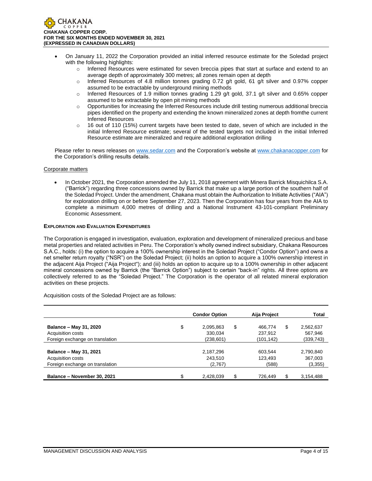

- On January 11, 2022 the Corporation provided an initial inferred resource estimate for the Soledad project with the following highlights:
	- o Inferred Resources were estimated for seven breccia pipes that start at surface and extend to an average depth of approximately 300 metres; all zones remain open at depth
	- $\circ$  Inferred Resources of 4.8 million tonnes grading 0.72 g/t gold, 61 g/t silver and 0.97% copper assumed to be extractable by underground mining methods
	- $\circ$  Inferred Resources of 1.9 million tonnes grading 1.29 g/t gold, 37.1 g/t silver and 0.65% copper assumed to be extractable by open pit mining methods
	- o Opportunities for increasing the Inferred Resources include drill testing numerous additional breccia pipes identified on the property and extending the known mineralized zones at depth fromthe current Inferred Resources
	- $\circ$  16 out of 110 (15%) current targets have been tested to date, seven of which are included in the initial Inferred Resource estimate; several of the tested targets not included in the initial Inferred Resource estimate are mineralized and require additional exploration drilling

Please refer to news releases on [www.sedar.com](http://www.sedar.com/) and the Corporation's website at [www.chakanacopper.com](http://www.chakanacopper.com/) for the Corporation's drilling results details.

# Corporate matters

• In October 2021, the Corporation amended the July 11, 2018 agreement with Minera Barrick Misquichilca S.A. ("Barrick") regarding three concessions owned by Barrick that make up a large portion of the southern half of the Soledad Project. Under the amendment, Chakana must obtain the Authorization to Initiate Activities ("AIA") for exploration drilling on or before September 27, 2023. Then the Corporation has four years from the AIA to complete a minimum 4,000 metres of drilling and a National Instrument 43-101-compliant Preliminary Economic Assessment.

## **EXPLORATION AND EVALUATION EXPENDITURES**

The Corporation is engaged in investigation, evaluation, exploration and development of mineralized precious and base metal properties and related activities in Peru. The Corporation's wholly owned indirect subsidiary, Chakana Resources S.A.C., holds: (i) the option to acquire a 100% ownership interest in the Soledad Project ("Condor Option") and owns a net smelter return royalty ("NSR") on the Soledad Project; (ii) holds an option to acquire a 100% ownership interest in the adjacent Aija Project ("Aija Project"); and (iii) holds an option to acquire up to a 100% ownership in other adjacent mineral concessions owned by Barrick (the "Barrick Option") subject to certain "back-in" rights. All three options are collectively referred to as the "Soledad Project." The Corporation is the operator of all related mineral exploration activities on these projects.

Acquisition costs of the Soledad Project are as follows:

|                                 | <b>Condor Option</b>  | Aija Project  | Total     |
|---------------------------------|-----------------------|---------------|-----------|
| Balance - May 31, 2020          | \$<br>\$<br>2,095,863 | \$<br>466.774 | 2,562,637 |
| Acquisition costs               | 330.034               | 237,912       | 567.946   |
| Foreign exchange on translation | (238, 601)            | (101, 142)    | (339,743) |
| Balance - May 31, 2021          | 2,187,296             | 603.544       | 2,790,840 |
| <b>Acquisition costs</b>        | 243.510               | 123.493       | 367,003   |
| Foreign exchange on translation | (2,767)               | (588)         | (3, 355)  |
| Balance - November 30, 2021     | \$<br>\$<br>2,428,039 | 726.449       | 3,154,488 |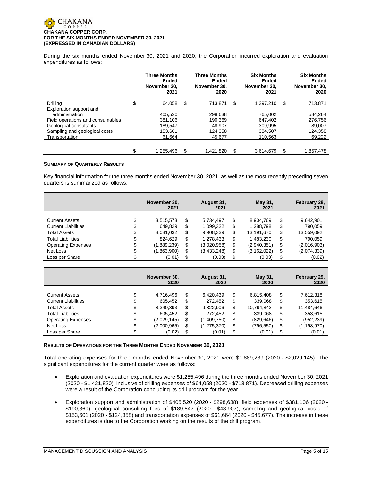#### CHAKANA COPPER **CHAKANA COPPER CORP. FOR THE SIX MONTHS ENDED NOVEMBER 30, 2021 (EXPRESSED IN CANADIAN DOLLARS)**

During the six months ended November 30, 2021 and 2020, the Corporation incurred exploration and evaluation expenditures as follows:

|                                     | <b>Three Months</b><br>Ended<br>November 30.<br>2021 |    | <b>Three Months</b><br><b>Ended</b><br>November 30.<br>2020 |    | <b>Six Months</b><br>Ended<br>November 30.<br>2021 |   | <b>Six Months</b><br>Ended<br>November 30.<br>2020 |
|-------------------------------------|------------------------------------------------------|----|-------------------------------------------------------------|----|----------------------------------------------------|---|----------------------------------------------------|
| Drilling<br>Exploration support and | \$<br>64.058                                         | \$ | 713.871                                                     | \$ | 1,397,210                                          | S | 713,871                                            |
| administration                      | 405.520                                              |    | 298,638                                                     |    | 765,002                                            |   | 584,264                                            |
| Field operations and consumables    | 381.106                                              |    | 190.369                                                     |    | 647.402                                            |   | 276.756                                            |
| Geological consultants              | 189.547                                              |    | 48.907                                                      |    | 309.995                                            |   | 89,007                                             |
| Sampling and geological costs       | 153.601                                              |    | 124.358                                                     |    | 384.507                                            |   | 124,358                                            |
| Transportation                      | 61.664                                               |    | 45.677                                                      |    | 110.563                                            |   | 69,222                                             |
|                                     | \$<br>1,255,496                                      | S  | 1,421,820                                                   | S  | 3,614,679                                          | S | 1,857,478                                          |

# **SUMMARY OF QUARTERLY RESULTS**

Key financial information for the three months ended November 30, 2021, as well as the most recently preceding seven quarters is summarized as follows:

|                            |        | November 30,<br>2021 |    | August 31,<br>2021 |    | May 31,<br>2021 | February 28,<br>2021 |
|----------------------------|--------|----------------------|----|--------------------|----|-----------------|----------------------|
| <b>Current Assets</b>      | ¢<br>Φ | 3,515,573            | S  | 5,734,497          | S  | 8,904,769       | \$<br>9,642,901      |
| <b>Current Liabilities</b> | \$     | 649.829              | S  | 1,099,322          | \$ | 1.288.798       | \$<br>790.059        |
| <b>Total Assets</b>        | \$     | 8,081,032            | \$ | 9,908,339          | \$ | 13,191,670      | \$<br>13,559,092     |
| <b>Total Liabilities</b>   | c<br>Φ | 824.629              | \$ | 1,278,433          | \$ | 1.483.230       | \$<br>790,059        |
| <b>Operating Expenses</b>  | \$     | (1,889,239)          | \$ | (3,020,958)        | \$ | (2,940,351)     | \$<br>(2,016,903)    |
| Net Loss                   | \$     | (1,863,900)          | \$ | (3,433,248)        | \$ | (3, 162, 022)   | \$<br>(2,074,339)    |
| Loss per Share             |        | (0.01)               | S  | (0.03)             | S  | (0.03)          | \$<br>(0.02)         |

|                                                     |         | November 30,<br>2020 |         | August 31,<br>2020   |          | May 31,<br>2020      |          | February 29,<br>2020 |
|-----------------------------------------------------|---------|----------------------|---------|----------------------|----------|----------------------|----------|----------------------|
| <b>Current Assets</b><br><b>Current Liabilities</b> | J<br>\$ | 4.716.496<br>605,452 | S<br>\$ | 6,420,439<br>272.452 | \$<br>\$ | 6,815,408<br>339,068 | \$<br>\$ | 7,612,318<br>353,615 |
| <b>Total Assets</b>                                 | \$      | 8,340,893            | S       | 9,822,906            | \$       | 10,794,843           | \$       | 11,484,646           |
| <b>Total Liabilities</b>                            | \$      | 605.452              | S       | 272.452              | \$       | 339.068              | \$       | 353.615              |
| <b>Operating Expenses</b>                           | \$      | (2,029,145)          | \$      | (1,409,750)          | \$       | (829, 646)           | \$       | (952, 239)           |
| Net Loss                                            | \$      | (2,000,965)          | \$      | (1,275,370)          | \$       | (796,550)            | \$       | (1, 198, 970)        |
| Loss per Share                                      |         | (0.02)               | S       | (0.01)               | \$       | (0.01)               | \$       | (0.01)               |

# **RESULTS OF OPERATIONS FOR THE THREE MONTHS ENDED NOVEMBER 30, 2021**

Total operating expenses for three months ended November 30, 2021 were \$1,889,239 (2020 - \$2,029,145). The significant expenditures for the current quarter were as follows:

- Exploration and evaluation expenditures were \$1,255,496 during the three months ended November 30, 2021 (2020 - \$1,421,820), inclusive of drilling expenses of \$64,058 (2020 - \$713,871). Decreased drilling expenses were a result of the Corporation concluding its drill program for the year.
- Exploration support and administration of \$405,520 (2020 \$298,638), field expenses of \$381,106 (2020 \$190,369), geological consulting fees of \$189,547 (2020 - \$48,907), sampling and geological costs of \$153,601 (2020 - \$124,358) and transportation expenses of \$61,664 (2020 - \$45,677). The increase in these expenditures is due to the Corporation working on the results of the drill program.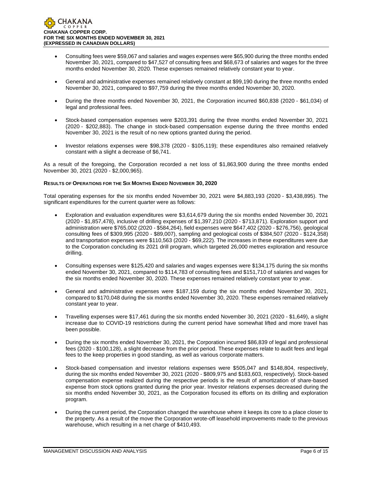- Consulting fees were \$59,067 and salaries and wages expenses were \$65,900 during the three months ended November 30, 2021, compared to \$47,527 of consulting fees and \$68,673 of salaries and wages for the three months ended November 30, 2020. These expenses remained relatively constant year to year.
- General and administrative expenses remained relatively constant at \$99,190 during the three months ended November 30, 2021, compared to \$97,759 during the three months ended November 30, 2020.
- During the three months ended November 30, 2021, the Corporation incurred \$60,838 (2020 \$61,034) of legal and professional fees.
- Stock-based compensation expenses were \$203,391 during the three months ended November 30, 2021 (2020 - \$202,883). The change in stock-based compensation expense during the three months ended November 30, 2021 is the result of no new options granted during the period.
- Investor relations expenses were \$98,378 (2020 \$105,119); these expenditures also remained relatively constant with a slight a decrease of \$6,741.

As a result of the foregoing, the Corporation recorded a net loss of \$1,863,900 during the three months ended November 30, 2021 (2020 - \$2,000,965).

# **RESULTS OF OPERATIONS FOR THE SIX MONTHS ENDED NOVEMBER 30, 2020**

Total operating expenses for the six months ended November 30, 2021 were \$4,883,193 (2020 - \$3,438,895). The significant expenditures for the current quarter were as follows:

- Exploration and evaluation expenditures were \$3,614,679 during the six months ended November 30, 2021 (2020 - \$1,857,478), inclusive of drilling expenses of \$1,397,210 (2020 - \$713,871). Exploration support and administration were \$765,002 (2020 - \$584,264), field expenses were \$647,402 (2020 - \$276,756), geological consulting fees of \$309,995 (2020 - \$89,007), sampling and geological costs of \$384,507 (2020 - \$124,358) and transportation expenses were \$110,563 (2020 - \$69,222). The increases in these expenditures were due to the Corporation concluding its 2021 drill program, which targeted 26,000 metres exploration and resource drilling.
- Consulting expenses were \$125,420 and salaries and wages expenses were \$134,175 during the six months ended November 30, 2021, compared to \$114,783 of consulting fees and \$151,710 of salaries and wages for the six months ended November 30, 2020. These expenses remained relatively constant year to year.
- General and administrative expenses were \$187,159 during the six months ended November 30, 2021, compared to \$170,048 during the six months ended November 30, 2020. These expenses remained relatively constant year to year.
- Travelling expenses were \$17,461 during the six months ended November 30, 2021 (2020 \$1,649), a slight increase due to COVID-19 restrictions during the current period have somewhat lifted and more travel has been possible.
- During the six months ended November 30, 2021, the Corporation incurred \$86,839 of legal and professional fees (2020 - \$100,128), a slight decrease from the prior period. These expenses relate to audit fees and legal fees to the keep properties in good standing, as well as various corporate matters.
- Stock-based compensation and investor relations expenses were \$505,047 and \$148,804, respectively, during the six months ended November 30, 2021 (2020 - \$809,975 and \$183,603, respectively). Stock-based compensation expense realized during the respective periods is the result of amortization of share-based expense from stock options granted during the prior year. Investor relations expenses decreased during the six months ended November 30, 2021, as the Corporation focused its efforts on its drilling and exploration program.
- During the current period, the Corporation changed the warehouse where it keeps its core to a place closer to the property. As a result of the move the Corporation wrote-off leasehold improvements made to the previous warehouse, which resulting in a net charge of \$410,493.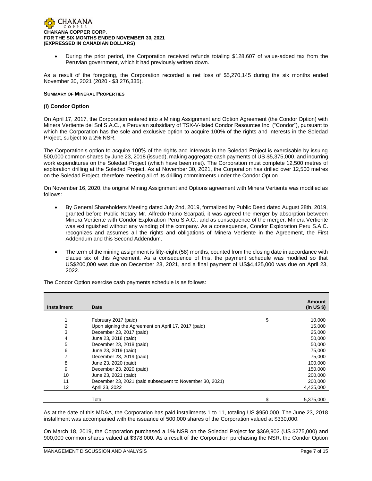

• During the prior period, the Corporation received refunds totaling \$128,607 of value-added tax from the Peruvian government, which it had previously written down.

As a result of the foregoing, the Corporation recorded a net loss of \$5,270,145 during the six months ended November 30, 2021 (2020 - \$3,276,335).

## **SUMMARY OF MINERAL PROPERTIES**

# **(i) Condor Option**

On April 17, 2017, the Corporation entered into a Mining Assignment and Option Agreement (the Condor Option) with Minera Vertiente del Sol S.A.C., a Peruvian subsidiary of TSX-V-listed Condor Resources Inc. ("Condor"), pursuant to which the Corporation has the sole and exclusive option to acquire 100% of the rights and interests in the Soledad Project, subject to a 2% NSR.

The Corporation's option to acquire 100% of the rights and interests in the Soledad Project is exercisable by issuing 500,000 common shares by June 23, 2018 (issued), making aggregate cash payments of US \$5,375,000, and incurring work expenditures on the Soledad Project (which have been met). The Corporation must complete 12,500 metres of exploration drilling at the Soledad Project. As at November 30, 2021, the Corporation has drilled over 12,500 metres on the Soledad Project, therefore meeting all of its drilling commitments under the Condor Option.

On November 16, 2020, the original Mining Assignment and Options agreement with Minera Vertiente was modified as follows:

- By General Shareholders Meeting dated July 2nd, 2019, formalized by Public Deed dated August 28th, 2019, granted before Public Notary Mr. Alfredo Paino Scarpati, it was agreed the merger by absorption between Minera Vertiente with Condor Exploration Peru S.A.C., and as consequence of the merger, Minera Vertiente was extinguished without any winding of the company. As a consequence, Condor Exploration Peru S.A.C. recognizes and assumes all the rights and obligations of Minera Vertiente in the Agreement, the First Addendum and this Second Addendum.
- The term of the mining assignment is fifty-eight (58) months, counted from the closing date in accordance with clause six of this Agreement. As a consequence of this, the payment schedule was modified so that US\$200,000 was due on December 23, 2021, and a final payment of US\$4,425,000 was due on April 23, 2022.

| <b>Installment</b> | Date                                                     | Amount<br>(in US \$) |
|--------------------|----------------------------------------------------------|----------------------|
|                    |                                                          |                      |
|                    | February 2017 (paid)                                     | \$<br>10,000         |
| 2                  | Upon signing the Agreement on April 17, 2017 (paid)      | 15,000               |
| 3                  | December 23, 2017 (paid)                                 | 25,000               |
| 4                  | June 23, 2018 (paid)                                     | 50,000               |
| 5                  | December 23, 2018 (paid)                                 | 50,000               |
| 6                  | June 23, 2019 (paid)                                     | 75,000               |
| 7                  | December 23, 2019 (paid)                                 | 75,000               |
| 8                  | June 23, 2020 (paid)                                     | 100,000              |
| 9                  | December 23, 2020 (paid)                                 | 150,000              |
| 10                 | June 23, 2021 (paid)                                     | 200,000              |
| 11                 | December 23, 2021 (paid subsequent to November 30, 2021) | 200,000              |
| 12                 | April 23, 2022                                           | 4,425,000            |
|                    |                                                          |                      |
|                    | Total                                                    | 5,375,000            |

The Condor Option exercise cash payments schedule is as follows:

As at the date of this MD&A, the Corporation has paid installments 1 to 11, totaling US \$950,000. The June 23, 2018 installment was accompanied with the issuance of 500,000 shares of the Corporation valued at \$330,000.

On March 18, 2019, the Corporation purchased a 1% NSR on the Soledad Project for \$369,902 (US \$275,000) and 900,000 common shares valued at \$378,000. As a result of the Corporation purchasing the NSR, the Condor Option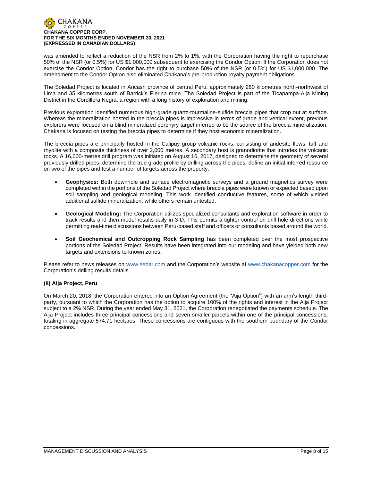

was amended to reflect a reduction of the NSR from 2% to 1%, with the Corporation having the right to repurchase 50% of the NSR (or 0.5%) for US \$1,000,000 subsequent to exercising the Condor Option. If the Corporation does not exercise the Condor Option, Condor has the right to purchase 50% of the NSR (or 0.5%) for US \$1,000,000. The amendment to the Condor Option also eliminated Chakana's pre-production royalty payment obligations.

The Soledad Project is located in Ancash province of central Peru, approximately 260 kilometres north-northwest of Lima and 35 kilometres south of Barrick's Pierina mine. The Soledad Project is part of the Ticapampa-Aija Mining District in the Cordillera Negra, a region with a long history of exploration and mining.

Previous exploration identified numerous high-grade quartz-tourmaline-sulfide breccia pipes that crop out at surface. Whereas the mineralization hosted in the breccia pipes is impressive in terms of grade and vertical extent, previous explorers were focused on a blind mineralized porphyry target inferred to be the source of the breccia mineralization. Chakana is focused on testing the breccia pipes to determine if they host economic mineralization.

The breccia pipes are principally hosted in the Calipuy group volcanic rocks, consisting of andesite flows, tuff and rhyolite with a composite thickness of over 2,000 metres. A secondary host is granodiorite that intrudes the volcanic rocks. A 16,000-metres drill program was initiated on August 16, 2017, designed to determine the geometry of several previously drilled pipes, determine the true grade profile by drilling across the pipes, define an initial inferred resource on two of the pipes and test a number of targets across the property.

- **Geophysics:** Both downhole and surface electromagnetic surveys and a ground magnetics survey were completed within the portions of the Soledad Project where breccia pipes were known or expected based upon soil sampling and geological modeling. This work identified conductive features, some of which yielded additional sulfide mineralization, while others remain untested.
- **Geological Modeling:** The Corporation utilizes specialized consultants and exploration software in order to track results and then model results daily in 3-D. This permits a tighter control on drill hole directions while permitting real-time discussions between Peru-based staff and officers or consultants based around the world.
- **Soil Geochemical and Outcropping Rock Sampling** has been completed over the most prospective portions of the Soledad Project. Results have been integrated into our modeling and have yielded both new targets and extensions to known zones.

Please refer to news releases on [www.sedar.com](about:blank) and the Corporation's website at [www.chakanacopper.com](about:blank) for the Corporation's drilling results details.

# **(ii) Aija Project, Peru**

On March 20, 2018, the Corporation entered into an Option Agreement (the "Aija Option") with an arm's length thirdparty, pursuant to which the Corporation has the option to acquire 100% of the rights and interest in the Aija Project subject to a 2% NSR. During the year ended May 31, 2021, the Corporation renegotiated the payments schedule. The Aija Project includes three principal concessions and seven smaller parcels within one of the principal concessions, totaling in aggregate 574.71 hectares. These concessions are contiguous with the southern boundary of the Condor concessions.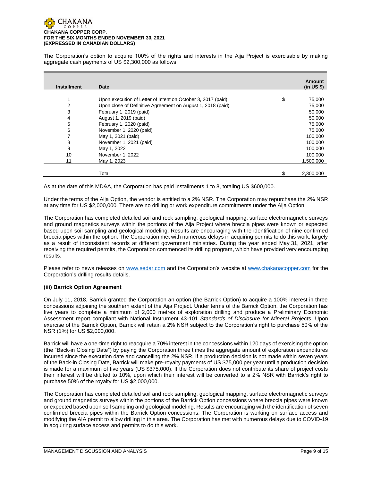

The Corporation's option to acquire 100% of the rights and interests in the Aija Project is exercisable by making aggregate cash payments of US \$2,300,000 as follows:

| <b>Installment</b> | <b>Date</b>                                                  |   | Amount<br>(in US \$) |
|--------------------|--------------------------------------------------------------|---|----------------------|
|                    |                                                              |   |                      |
| 1                  | Upon execution of Letter of Intent on October 3, 2017 (paid) | S | 75,000               |
| 2                  | Upon close of Definitive Agreement on August 1, 2018 (paid)  |   | 75,000               |
| 3                  | February 1, 2019 (paid)                                      |   | 50,000               |
| 4                  | August 1, 2019 (paid)                                        |   | 50,000               |
| 5                  | February 1, 2020 (paid)                                      |   | 75,000               |
| 6                  | November 1, 2020 (paid)                                      |   | 75,000               |
| 7                  | May 1, 2021 (paid)                                           |   | 100,000              |
| 8                  | November 1, 2021 (paid)                                      |   | 100,000              |
| 9                  | May 1, 2022                                                  |   | 100,000              |
| 10                 | November 1, 2022                                             |   | 100,000              |
| 11                 | May 1, 2023                                                  |   | 1,500,000            |
|                    |                                                              |   |                      |
|                    | Total                                                        |   | 2,300,000            |

As at the date of this MD&A, the Corporation has paid installments 1 to 8, totaling US \$600,000.

Under the terms of the Aija Option, the vendor is entitled to a 2% NSR. The Corporation may repurchase the 2% NSR at any time for US \$2,000,000. There are no drilling or work expenditure commitments under the Aija Option.

The Corporation has completed detailed soil and rock sampling, geological mapping, surface electromagnetic surveys and ground magnetics surveys within the portions of the Aija Project where breccia pipes were known or expected based upon soil sampling and geological modeling. Results are encouraging with the identification of nine confirmed breccia pipes within the option. The Corporation met with numerous delays in acquiring permits to do this work, largely as a result of inconsistent records at different government ministries. During the year ended May 31, 2021, after receiving the required permits, the Corporation commenced its drilling program, which have provided very encouraging results.

Please refer to news releases on [www.sedar.com](about:blank) and the Corporation's website at [www.chakanacopper.com](about:blank) for the Corporation's drilling results details.

# **(iii) Barrick Option Agreement**

On July 11, 2018, Barrick granted the Corporation an option (the Barrick Option) to acquire a 100% interest in three concessions adjoining the southern extent of the Aija Project. Under terms of the Barrick Option, the Corporation has five years to complete a minimum of 2,000 metres of exploration drilling and produce a Preliminary Economic Assessment report compliant with National Instrument 43-101 *Standards of Disclosure for Mineral Projects*. Upon exercise of the Barrick Option, Barrick will retain a 2% NSR subject to the Corporation's right to purchase 50% of the NSR (1%) for US \$2,000,000.

Barrick will have a one-time right to reacquire a 70% interest in the concessions within 120 days of exercising the option (the "Back-in Closing Date") by paying the Corporation three times the aggregate amount of exploration expenditures incurred since the execution date and cancelling the 2% NSR. If a production decision is not made within seven years of the Back-in Closing Date, Barrick will make pre-royalty payments of US \$75,000 per year until a production decision is made for a maximum of five years (US \$375,000). If the Corporation does not contribute its share of project costs their interest will be diluted to 10%, upon which their interest will be converted to a 2% NSR with Barrick's right to purchase 50% of the royalty for US \$2,000,000.

The Corporation has completed detailed soil and rock sampling, geological mapping, surface electromagnetic surveys and ground magnetics surveys within the portions of the Barrick Option concessions where breccia pipes were known or expected based upon soil sampling and geological modeling. Results are encouraging with the identification of seven confirmed breccia pipes within the Barrick Option concessions. The Corporation is working on surface access and modifying the AIA permit to allow drilling in this area. The Corporation has met with numerous delays due to COVID-19 in acquiring surface access and permits to do this work.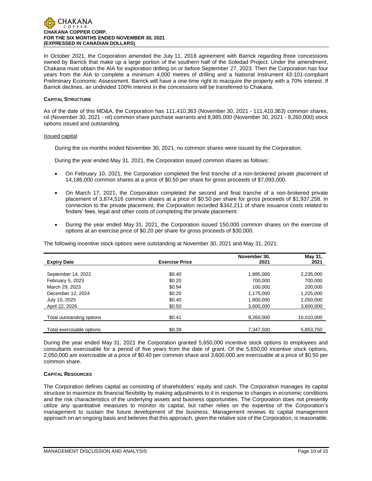

In October 2021, the Corporation amended the July 11, 2018 agreement with Barrick regarding three concessions owned by Barrick that make up a large portion of the southern half of the Soledad Project. Under the amendment, Chakana must obtain the AIA for exploration drilling on or before September 27, 2023. Then the Corporation has four years from the AIA to complete a minimum 4,000 metres of drilling and a National Instrument 43-101-compliant Preliminary Economic Assessment. Barrick will have a one-time right to reacquire the property with a 70% interest. If Barrick declines, an undivided 100% interest in the concessions will be transferred to Chakana.

## **CAPITAL STRUCTURE**

As of the date of this MD&A, the Corporation has 111,410,363 (November 30, 2021 - 111,410,363) common shares, nil (November 30, 2021 - nil) common share purchase warrants and 8,985,000 (November 30, 2021 - 9,260,000) stock options issued and outstanding.

#### Issued capital

During the six months ended November 30, 2021, no common shares were issued by the Corporation.

During the year ended May 31, 2021, the Corporation issued common shares as follows:

- On February 10, 2021, the Corporation completed the first tranche of a non-brokered private placement of 14,186,000 common shares at a price of \$0.50 per share for gross proceeds of \$7,093,000.
- On March 17, 2021, the Corporation completed the second and final tranche of a non-brokered private placement of 3,874,516 common shares at a price of \$0.50 per share for gross proceeds of \$1,937,258. In connection to the private placement, the Corporation recorded \$342,211 of share issuance costs related to finders' fees, legal and other costs of completing the private placement.
- During the year ended May 31, 2021, the Corporation issued 150,000 common shares on the exercise of options at an exercise price of \$0.20 per share for gross proceeds of \$30,000.

The following incentive stock options were outstanding at November 30, 2021 and May 31, 2021:

|                           |                       | November 30, | May 31,    |
|---------------------------|-----------------------|--------------|------------|
| <b>Expiry Date</b>        | <b>Exercise Price</b> | 2021         | 2021       |
|                           |                       |              |            |
| September 14, 2022        | \$0.40                | 1.885.000    | 2,235,000  |
| February 5, 2023          | \$0.20                | 700.000      | 700.000    |
| March 29, 2023            | \$0.94                | 100.000      | 200.000    |
| December 12, 2024         | \$0.20                | 1.175.000    | 1.225.000  |
| July 10, 2025             | \$0.40                | 1.800.000    | 2,050,000  |
| April 22, 2026            | \$0.50                | 3.600.000    | 3.600.000  |
| Total outstanding options | \$0.41                | 9,260,000    | 10,010,000 |
|                           |                       |              |            |
| Total exercisable options | \$0.39                | 7,347,500    | 5,853,750  |

During the year ended May 31, 2021 the Corporation granted 5,650,000 incentive stock options to employees and consultants exercisable for a period of five years from the date of grant. Of the 5,650,00 incentive stock options, 2,050,000 are exercisable at a price of \$0.40 per common share and 3,600,000 are exercisable at a price of \$0.50 per common share.

# **CAPITAL RESOURCES**

The Corporation defines capital as consisting of shareholders' equity and cash. The Corporation manages its capital structure to maximize its financial flexibility by making adjustments to it in response to changes in economic conditions and the risk characteristics of the underlying assets and business opportunities. The Corporation does not presently utilize any quantitative measures to monitor its capital, but rather relies on the expertise of the Corporation's management to sustain the future development of the business. Management reviews its capital management approach on an ongoing basis and believes that this approach, given the relative size of the Corporation, is reasonable.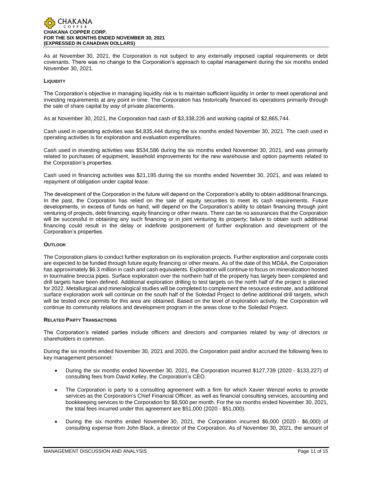

As at November 30, 2021, the Corporation is not subject to any externally imposed capital requirements or debt covenants. There was no change to the Corporation's approach to capital management during the six months ended November 30, 2021.

# **LIQUIDITY**

The Corporation's objective in managing liquidity risk is to maintain sufficient liquidity in order to meet operational and investing requirements at any point in time. The Corporation has historically financed its operations primarily through the sale of share capital by way of private placements.

As at November 30, 2021, the Corporation had cash of \$3,338,226 and working capital of \$2,865,744.

Cash used in operating activities was \$4,835,444 during the six months ended November 30, 2021. The cash used in operating activities is for exploration and evaluation expenditures.

Cash used in investing activities was \$534,586 during the six months ended November 30, 2021, and was primarily related to purchases of equipment, leasehold improvements for the new warehouse and option payments related to the Corporation's properties.

Cash used in financing activities was \$21,195 during the six months ended November 30, 2021, and was related to repayment of obligation under capital lease.

The development of the Corporation in the future will depend on the Corporation's ability to obtain additional financings. In the past, the Corporation has relied on the sale of equity securities to meet its cash requirements. Future developments, in excess of funds on hand, will depend on the Corporation's ability to obtain financing through joint venturing of projects, debt financing, equity financing or other means. There can be no assurances that the Corporation will be successful in obtaining any such financing or in joint venturing its property; failure to obtain such additional financing could result in the delay or indefinite postponement of further exploration and development of the Corporation's properties.

# **OUTLOOK**

The Corporation plans to conduct further exploration on its exploration projects. Further exploration and corporate costs are expected to be funded through future equity financing or other means. As of the date of this MD&A, the Corporation has approximately \$6.3 million in cash and cash equivalents. Exploration will continue to focus on mineralization hosted in tourmaline breccia pipes. Surface exploration over the northern half of the property has largely been completed and drill targets have been defined. Additional exploration drilling to test targets on the north half of the project is planned for 2022. Metallurgical and mineralogical studies will be completed to complement the resource estimate, and additional surface exploration work will continue on the south half of the Soledad Project to define additional drill targets, which will be tested once permits for this area are obtained. Based on the level of exploration activity, the Corporation will continue its community relations and development program in the areas close to the Soledad Project.

## **RELATED PARTY TRANSACTIONS**

The Corporation's related parties include officers and directors and companies related by way of directors or shareholders in common.

During the six months ended November 30, 2021 and 2020, the Corporation paid and/or accrued the following fees to key management personnel:

- During the six months ended November 30, 2021, the Corporation incurred \$127,739 (2020 \$133,227) of consulting fees from David Kelley, the Corporation's CEO.
- The Corporation is party to a consulting agreement with a firm for which Xavier Wenzel works to provide services as the Corporation's Chief Financial Officer, as well as financial consulting services, accounting and bookkeeping services to the Corporation for \$8,500 per month. For the six months ended November 30, 2021, the total fees incurred under this agreement are \$51,000 (2020 - \$51,000).
- During the six months ended November 30, 2021, the Corporation incurred \$6,000 (2020 \$6,000) of consulting expense from John Black, a director of the Corporation. As of November 30, 2021, the amount of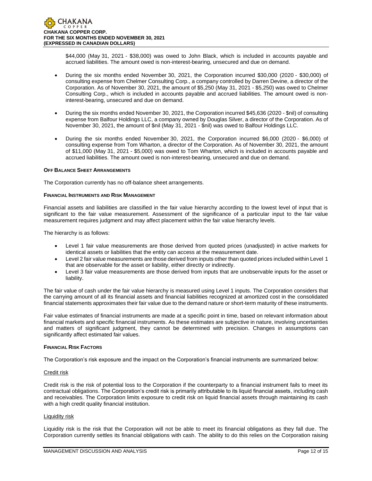\$44,000 (May 31, 2021 - \$38,000) was owed to John Black, which is included in accounts payable and accrued liabilities. The amount owed is non-interest-bearing, unsecured and due on demand.

- During the six months ended November 30, 2021, the Corporation incurred \$30,000 (2020 \$30,000) of consulting expense from Chelmer Consulting Corp., a company controlled by Darren Devine, a director of the Corporation. As of November 30, 2021, the amount of \$5,250 (May 31, 2021 - \$5,250) was owed to Chelmer Consulting Corp., which is included in accounts payable and accrued liabilities. The amount owed is noninterest-bearing, unsecured and due on demand.
- During the six months ended November 30, 2021, the Corporation incurred \$45,636 (2020 \$nil) of consulting expense from Balfour Holdings LLC, a company owned by Douglas Silver, a director of the Corporation. As of November 30, 2021, the amount of \$nil (May 31, 2021 - \$nil) was owed to Balfour Holdings LLC.
- During the six months ended November 30, 2021, the Corporation incurred \$6,000 (2020 \$6,000) of consulting expense from Tom Wharton, a director of the Corporation. As of November 30, 2021, the amount of \$11,000 (May 31, 2021 - \$5,000) was owed to Tom Wharton, which is included in accounts payable and accrued liabilities. The amount owed is non-interest-bearing, unsecured and due on demand.

# **OFF BALANCE SHEET ARRANGEMENTS**

The Corporation currently has no off-balance sheet arrangements.

## **FINANCIAL INSTRUMENTS AND RISK MANAGEMENT**

Financial assets and liabilities are classified in the fair value hierarchy according to the lowest level of input that is significant to the fair value measurement. Assessment of the significance of a particular input to the fair value measurement requires judgment and may affect placement within the fair value hierarchy levels.

The hierarchy is as follows:

- Level 1 fair value measurements are those derived from quoted prices (unadjusted) in active markets for identical assets or liabilities that the entity can access at the measurement date.
- Level 2 fair value measurements are those derived from inputs other than quoted prices included within Level 1 that are observable for the asset or liability, either directly or indirectly.
- Level 3 fair value measurements are those derived from inputs that are unobservable inputs for the asset or liability.

The fair value of cash under the fair value hierarchy is measured using Level 1 inputs. The Corporation considers that the carrying amount of all its financial assets and financial liabilities recognized at amortized cost in the consolidated financial statements approximates their fair value due to the demand nature or short-term maturity of these instruments.

Fair value estimates of financial instruments are made at a specific point in time, based on relevant information about financial markets and specific financial instruments. As these estimates are subjective in nature, involving uncertainties and matters of significant judgment, they cannot be determined with precision. Changes in assumptions can significantly affect estimated fair values.

## **FINANCIAL RISK FACTORS**

The Corporation's risk exposure and the impact on the Corporation's financial instruments are summarized below:

# Credit risk

Credit risk is the risk of potential loss to the Corporation if the counterparty to a financial instrument fails to meet its contractual obligations. The Corporation's credit risk is primarily attributable to its liquid financial assets, including cash and receivables. The Corporation limits exposure to credit risk on liquid financial assets through maintaining its cash with a high credit quality financial institution.

## Liquidity risk

Liquidity risk is the risk that the Corporation will not be able to meet its financial obligations as they fall due. The Corporation currently settles its financial obligations with cash. The ability to do this relies on the Corporation raising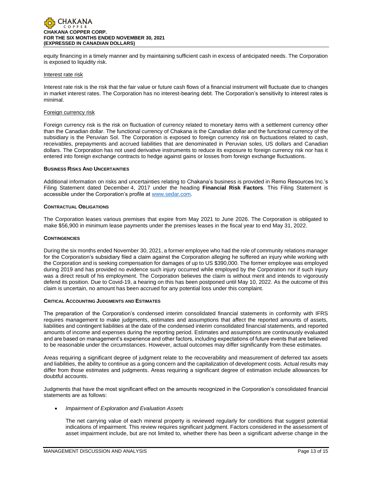

equity financing in a timely manner and by maintaining sufficient cash in excess of anticipated needs. The Corporation is exposed to liquidity risk.

#### Interest rate risk

Interest rate risk is the risk that the fair value or future cash flows of a financial instrument will fluctuate due to changes in market interest rates. The Corporation has no interest-bearing debt. The Corporation's sensitivity to interest rates is minimal.

#### Foreign currency risk

Foreign currency risk is the risk on fluctuation of currency related to monetary items with a settlement currency other than the Canadian dollar. The functional currency of Chakana is the Canadian dollar and the functional currency of the subsidiary is the Peruvian Sol. The Corporation is exposed to foreign currency risk on fluctuations related to cash, receivables, prepayments and accrued liabilities that are denominated in Peruvian soles, US dollars and Canadian dollars. The Corporation has not used derivative instruments to reduce its exposure to foreign currency risk nor has it entered into foreign exchange contracts to hedge against gains or losses from foreign exchange fluctuations.

#### **BUSINESS RISKS AND UNCERTAINTIES**

Additional information on risks and uncertainties relating to Chakana's business is provided in Remo Resources Inc.'s Filing Statement dated December 4, 2017 under the heading **Financial Risk Factors**. This Filing Statement is accessible under the Corporation's profile at [www.sedar.com.](http://www.sedar.com/)

## **CONTRACTUAL OBLIGATIONS**

The Corporation leases various premises that expire from May 2021 to June 2026. The Corporation is obligated to make \$56,900 in minimum lease payments under the premises leases in the fiscal year to end May 31, 2022.

#### **CONTINGENCIES**

During the six months ended November 30, 2021, a former employee who had the role of community relations manager for the Corporation's subsidiary filed a claim against the Corporation alleging he suffered an injury while working with the Corporation and is seeking compensation for damages of up to US \$390,000. The former employee was employed during 2019 and has provided no evidence such injury occurred while employed by the Corporation nor if such injury was a direct result of his employment. The Corporation believes the claim is without merit and intends to vigorously defend its position. Due to Covid-19, a hearing on this has been postponed until May 10, 2022. As the outcome of this claim is uncertain, no amount has been accrued for any potential loss under this complaint.

## **CRITICAL ACCOUNTING JUDGMENTS AND ESTIMATES**

The preparation of the Corporation's condensed interim consolidated financial statements in conformity with IFRS requires management to make judgments, estimates and assumptions that affect the reported amounts of assets, liabilities and contingent liabilities at the date of the condensed interim consolidated financial statements, and reported amounts of income and expenses during the reporting period. Estimates and assumptions are continuously evaluated and are based on management's experience and other factors, including expectations of future events that are believed to be reasonable under the circumstances. However, actual outcomes may differ significantly from these estimates.

Areas requiring a significant degree of judgment relate to the recoverability and measurement of deferred tax assets and liabilities, the ability to continue as a going concern and the capitalization of development costs. Actual results may differ from those estimates and judgments. Areas requiring a significant degree of estimation include allowances for doubtful accounts.

Judgments that have the most significant effect on the amounts recognized in the Corporation's consolidated financial statements are as follows:

• *Impairment of Exploration and Evaluation Assets*

The net carrying value of each mineral property is reviewed regularly for conditions that suggest potential indications of impairment. This review requires significant judgment. Factors considered in the assessment of asset impairment include, but are not limited to, whether there has been a significant adverse change in the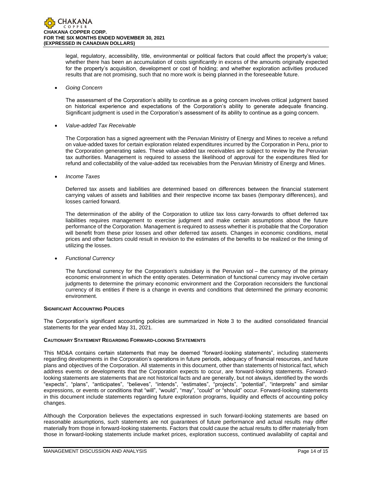legal, regulatory, accessibility, title, environmental or political factors that could affect the property's value; whether there has been an accumulation of costs significantly in excess of the amounts originally expected for the property's acquisition, development or cost of holding; and whether exploration activities produced results that are not promising, such that no more work is being planned in the foreseeable future.

# • *Going Concern*

The assessment of the Corporation's ability to continue as a going concern involves critical judgment based on historical experience and expectations of the Corporation's ability to generate adequate financing. Significant judgment is used in the Corporation's assessment of its ability to continue as a going concern.

# • *Value-added Tax Receivable*

The Corporation has a signed agreement with the Peruvian Ministry of Energy and Mines to receive a refund on value-added taxes for certain exploration related expenditures incurred by the Corporation in Peru, prior to the Corporation generating sales. These value-added tax receivables are subject to review by the Peruvian tax authorities. Management is required to assess the likelihood of approval for the expenditures filed for refund and collectability of the value-added tax receivables from the Peruvian Ministry of Energy and Mines.

• *Income Taxes*

Deferred tax assets and liabilities are determined based on differences between the financial statement carrying values of assets and liabilities and their respective income tax bases (temporary differences), and losses carried forward.

The determination of the ability of the Corporation to utilize tax loss carry-forwards to offset deferred tax liabilities requires management to exercise judgment and make certain assumptions about the future performance of the Corporation. Management is required to assess whether it is probable that the Corporation will benefit from these prior losses and other deferred tax assets. Changes in economic conditions, metal prices and other factors could result in revision to the estimates of the benefits to be realized or the timing of utilizing the losses.

• *Functional Currency*

The functional currency for the Corporation's subsidiary is the Peruvian sol – the currency of the primary economic environment in which the entity operates. Determination of functional currency may involve certain judgments to determine the primary economic environment and the Corporation reconsiders the functional currency of its entities if there is a change in events and conditions that determined the primary economic environment.

## **SIGNIFICANT ACCOUNTING POLICIES**

The Corporation's significant accounting policies are summarized in Note 3 to the audited consolidated financial statements for the year ended May 31, 2021.

# **CAUTIONARY STATEMENT REGARDING FORWARD-LOOKING STATEMENTS**

This MD&A contains certain statements that may be deemed "forward-looking statements", including statements regarding developments in the Corporation's operations in future periods, adequacy of financial resources, and future plans and objectives of the Corporation. All statements in this document, other than statements of historical fact, which address events or developments that the Corporation expects to occur, are forward-looking statements. Forwardlooking statements are statements that are not historical facts and are generally, but not always, identified by the words "expects", "plans", "anticipates", "believes", "intends", "estimates", "projects", "potential", "interprets" and similar expressions, or events or conditions that "will", "would", "may", "could" or "should" occur. Forward-looking statements in this document include statements regarding future exploration programs, liquidity and effects of accounting policy changes.

Although the Corporation believes the expectations expressed in such forward-looking statements are based on reasonable assumptions, such statements are not guarantees of future performance and actual results may differ materially from those in forward-looking statements. Factors that could cause the actual results to differ materially from those in forward-looking statements include market prices, exploration success, continued availability of capital and